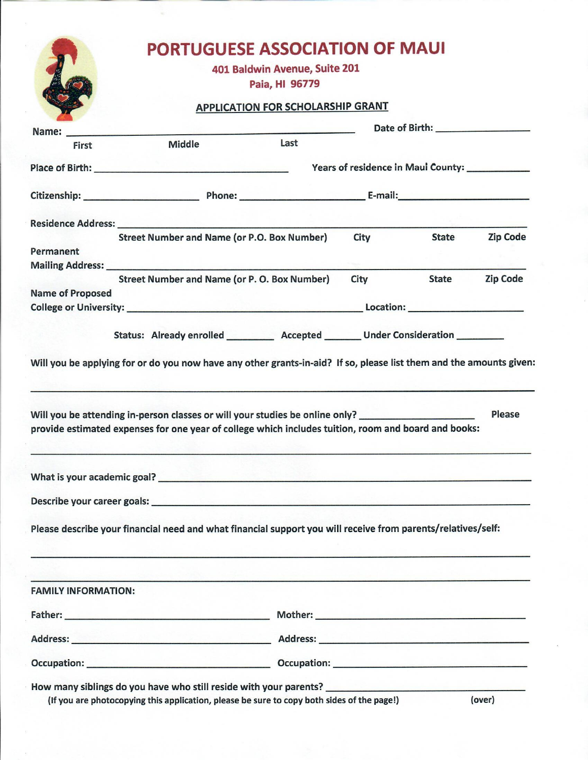## **PORTUGUESE ASSOCIATION OF MAUI**

401 Baldwin Avenue, Suite 201

Paia, HI 96779

## **APPLICATION FOR SCHOLARSHIP GRANT**

|                            | Name: 2008. 2008. 2009. 2010. 2010. 2010. 2010. 2010. 2010. 2010. 2010. 2010. 2010. 2010. 2010. 2010. 2010. 20                                                                                                                 |                                     | Date of Birth: __________________                                                                                                                                                                                              |              |                 |  |
|----------------------------|--------------------------------------------------------------------------------------------------------------------------------------------------------------------------------------------------------------------------------|-------------------------------------|--------------------------------------------------------------------------------------------------------------------------------------------------------------------------------------------------------------------------------|--------------|-----------------|--|
| First                      | <b>Middle</b>                                                                                                                                                                                                                  | Last                                |                                                                                                                                                                                                                                |              |                 |  |
|                            |                                                                                                                                                                                                                                |                                     | Years of residence in Maui County:                                                                                                                                                                                             |              |                 |  |
|                            |                                                                                                                                                                                                                                | Citizenship: Phone: E-mail: E-mail: |                                                                                                                                                                                                                                |              |                 |  |
|                            |                                                                                                                                                                                                                                |                                     |                                                                                                                                                                                                                                |              |                 |  |
|                            | <b>Street Number and Name (or P.O. Box Number)</b>                                                                                                                                                                             |                                     | <b>City</b>                                                                                                                                                                                                                    | <b>State</b> | <b>Zip Code</b> |  |
| Permanent                  |                                                                                                                                                                                                                                |                                     |                                                                                                                                                                                                                                |              |                 |  |
|                            | <b>Mailing Address:</b> Mailing Address:                                                                                                                                                                                       |                                     |                                                                                                                                                                                                                                |              |                 |  |
|                            | <b>Street Number and Name (or P. O. Box Number)</b>                                                                                                                                                                            |                                     | <b>City</b>                                                                                                                                                                                                                    | <b>State</b> | <b>Zip Code</b> |  |
| <b>Name of Proposed</b>    |                                                                                                                                                                                                                                |                                     |                                                                                                                                                                                                                                |              |                 |  |
|                            |                                                                                                                                                                                                                                |                                     |                                                                                                                                                                                                                                |              |                 |  |
|                            |                                                                                                                                                                                                                                |                                     |                                                                                                                                                                                                                                |              |                 |  |
|                            | Status: Already enrolled __________ Accepted ________ Under Consideration _______                                                                                                                                              |                                     |                                                                                                                                                                                                                                |              |                 |  |
|                            | provide estimated expenses for one year of college which includes tuition, room and board and books:                                                                                                                           |                                     |                                                                                                                                                                                                                                |              |                 |  |
|                            | Describe your career goals: example and a series of the series of the series of the series of the series of the series of the series of the series of the series of the series of the series of the series of the series of th |                                     |                                                                                                                                                                                                                                |              |                 |  |
|                            | Please describe your financial need and what financial support you will receive from parents/relatives/self:                                                                                                                   |                                     |                                                                                                                                                                                                                                |              |                 |  |
| <b>FAMILY INFORMATION:</b> |                                                                                                                                                                                                                                |                                     |                                                                                                                                                                                                                                |              |                 |  |
|                            |                                                                                                                                                                                                                                |                                     | Mother: New York Product of the Community of the Community of the Community of the Community of the Community of the Community of the Community of the Community of the Community of the Community of the Community of the Com |              |                 |  |
|                            |                                                                                                                                                                                                                                |                                     |                                                                                                                                                                                                                                |              |                 |  |
|                            |                                                                                                                                                                                                                                |                                     |                                                                                                                                                                                                                                |              |                 |  |
|                            | How many siblings do you have who still reside with your parents? _____________________<br>(If you are photocopying this application, please be sure to copy both sides of the page!)                                          |                                     |                                                                                                                                                                                                                                |              | (over)          |  |